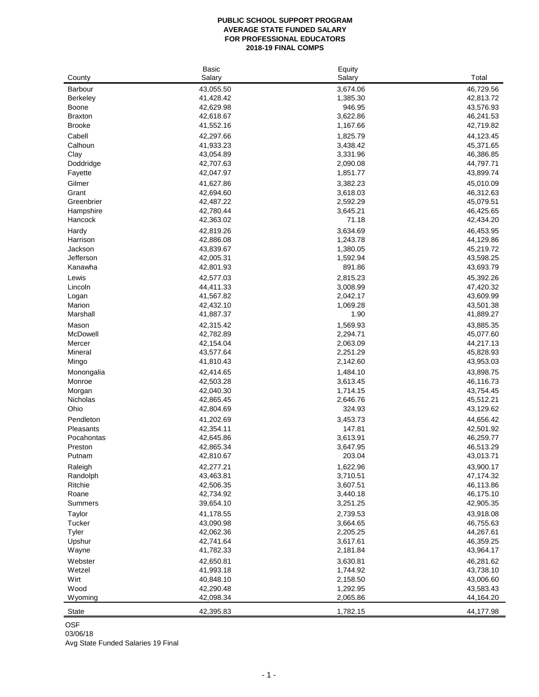#### **PUBLIC SCHOOL SUPPORT PROGRAM AVERAGE STATE FUNDED SALARY FOR PROFESSIONAL EDUCATORS 2018-19 FINAL COMPS**

|                        | <b>Basic</b>           | Equity               |                        |
|------------------------|------------------------|----------------------|------------------------|
| County                 | Salary                 | Salary               | Total                  |
| Barbour                | 43,055.50              | 3,674.06             | 46,729.56              |
| Berkeley               | 41,428.42              | 1,385.30             | 42,813.72              |
| Boone                  | 42,629.98              | 946.95               | 43,576.93              |
| <b>Braxton</b>         | 42,618.67              | 3,622.86             | 46,241.53              |
| <b>Brooke</b>          | 41,552.16              | 1,167.66             | 42,719.82              |
| Cabell                 | 42,297.66              | 1,825.79             | 44,123.45              |
| Calhoun                | 41,933.23              | 3,438.42             | 45,371.65              |
| Clay                   | 43,054.89              | 3,331.96             | 46,386.85              |
| Doddridge              | 42,707.63              | 2,090.08             | 44,797.71              |
| Fayette                | 42,047.97              | 1,851.77             | 43,899.74              |
| Gilmer                 | 41,627.86              | 3,382.23             | 45,010.09              |
| Grant                  | 42,694.60              | 3,618.03             | 46,312.63              |
| Greenbrier             | 42,487.22              | 2,592.29             | 45,079.51              |
| Hampshire              | 42,780.44              | 3,645.21             | 46,425.65              |
| Hancock                | 42,363.02              | 71.18                | 42,434.20              |
| Hardy                  | 42,819.26              | 3,634.69             | 46,453.95              |
| Harrison               | 42,886.08              | 1,243.78             | 44,129.86              |
| Jackson                | 43,839.67              | 1,380.05             | 45,219.72              |
| Jefferson              | 42,005.31              | 1,592.94             | 43,598.25              |
| Kanawha                | 42,801.93              | 891.86               | 43,693.79              |
| Lewis                  | 42,577.03              | 2,815.23             | 45,392.26              |
| Lincoln                | 44,411.33              | 3,008.99             | 47,420.32              |
| Logan                  | 41,567.82              | 2,042.17             | 43,609.99              |
| Marion                 | 42,432.10              | 1,069.28             | 43,501.38              |
| Marshall               | 41,887.37              | 1.90                 | 41,889.27              |
| Mason                  | 42,315.42              | 1,569.93             | 43,885.35              |
| McDowell               | 42,782.89              | 2,294.71             | 45,077.60              |
| Mercer                 | 42,154.04              | 2,063.09             | 44,217.13              |
| Mineral                | 43,577.64              | 2,251.29             | 45,828.93              |
| Mingo                  | 41,810.43              | 2,142.60             | 43,953.03              |
| Monongalia             | 42,414.65              | 1,484.10             | 43,898.75              |
| Monroe                 | 42,503.28              | 3,613.45             | 46,116.73              |
| Morgan                 | 42,040.30              | 1,714.15             | 43,754.45              |
| Nicholas<br>Ohio       | 42,865.45<br>42,804.69 | 2,646.76<br>324.93   | 45,512.21<br>43,129.62 |
|                        |                        |                      |                        |
| Pendleton<br>Pleasants | 41,202.69<br>42,354.11 | 3,453.73             | 44,656.42              |
| Pocahontas             | 42,645.86              | 147.81<br>3,613.91   | 42,501.92<br>46,259.77 |
| Preston                | 42,865.34              | 3,647.95             | 46,513.29              |
| Putnam                 | 42,810.67              | 203.04               | 43,013.71              |
| Raleigh                |                        |                      |                        |
| Randolph               | 42,277.21<br>43,463.81 | 1,622.96<br>3,710.51 | 43,900.17<br>47,174.32 |
| Ritchie                | 42,506.35              | 3,607.51             | 46,113.86              |
| Roane                  | 42,734.92              | 3,440.18             | 46,175.10              |
| Summers                | 39,654.10              | 3,251.25             | 42,905.35              |
| Taylor                 | 41,178.55              | 2,739.53             | 43,918.08              |
| Tucker                 | 43,090.98              | 3,664.65             | 46,755.63              |
| Tyler                  | 42,062.36              | 2,205.25             | 44,267.61              |
| Upshur                 | 42,741.64              | 3,617.61             | 46,359.25              |
| Wayne                  | 41,782.33              | 2,181.84             | 43,964.17              |
| Webster                | 42,650.81              | 3,630.81             | 46,281.62              |
| Wetzel                 | 41,993.18              | 1,744.92             | 43,738.10              |
| Wirt                   | 40,848.10              | 2,158.50             | 43,006.60              |
| Wood                   | 42,290.48              | 1,292.95             | 43,583.43              |
| Wyoming                | 42,098.34              | 2,065.86             | 44,164.20              |
|                        |                        |                      |                        |
| <b>State</b>           | 42,395.83              | 1,782.15             | 44,177.98              |

OSF

03/06/18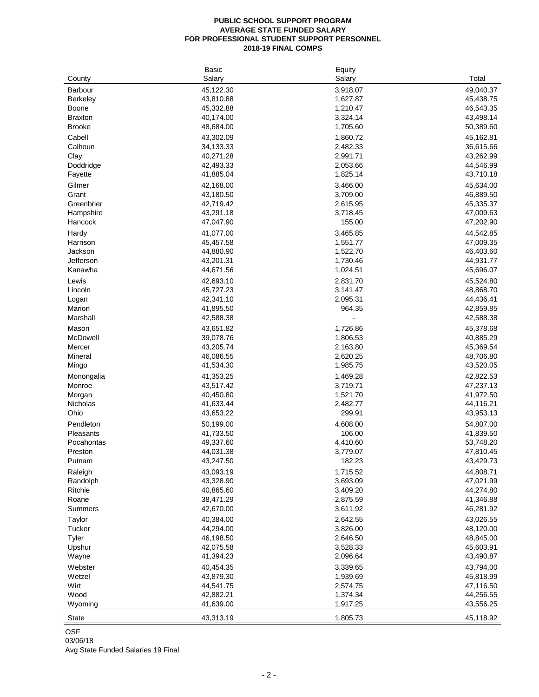## **PUBLIC SCHOOL SUPPORT PROGRAM AVERAGE STATE FUNDED SALARY FOR PROFESSIONAL STUDENT SUPPORT PERSONNEL 2018-19 FINAL COMPS**

|                 | <b>Basic</b> | Equity   |           |
|-----------------|--------------|----------|-----------|
| County          | Salary       | Salary   | Total     |
| Barbour         | 45,122.30    | 3,918.07 | 49,040.37 |
| <b>Berkeley</b> | 43,810.88    | 1,627.87 | 45,438.75 |
| Boone           | 45,332.88    | 1,210.47 | 46,543.35 |
| <b>Braxton</b>  | 40,174.00    | 3,324.14 | 43,498.14 |
| <b>Brooke</b>   | 48,684.00    | 1,705.60 | 50,389.60 |
|                 |              |          |           |
| Cabell          | 43,302.09    | 1,860.72 | 45,162.81 |
| Calhoun         | 34,133.33    | 2,482.33 | 36,615.66 |
| Clay            | 40,271.28    | 2,991.71 | 43,262.99 |
| Doddridge       | 42,493.33    | 2,053.66 | 44,546.99 |
| Fayette         | 41,885.04    | 1,825.14 | 43,710.18 |
| Gilmer          | 42,168.00    | 3,466.00 | 45,634.00 |
| Grant           | 43,180.50    | 3,709.00 | 46,889.50 |
| Greenbrier      | 42,719.42    | 2,615.95 | 45,335.37 |
| Hampshire       | 43,291.18    | 3,718.45 | 47,009.63 |
| Hancock         | 47,047.90    | 155.00   | 47,202.90 |
| Hardy           | 41,077.00    | 3,465.85 | 44,542.85 |
| Harrison        | 45,457.58    | 1,551.77 |           |
|                 |              |          | 47,009.35 |
| Jackson         | 44,880.90    | 1,522.70 | 46,403.60 |
| Jefferson       | 43,201.31    | 1,730.46 | 44,931.77 |
| Kanawha         | 44,671.56    | 1,024.51 | 45,696.07 |
| Lewis           | 42,693.10    | 2,831.70 | 45,524.80 |
| Lincoln         | 45,727.23    | 3,141.47 | 48,868.70 |
| Logan           | 42,341.10    | 2,095.31 | 44,436.41 |
| Marion          | 41,895.50    | 964.35   | 42,859.85 |
| Marshall        | 42,588.38    |          | 42,588.38 |
| Mason           | 43,651.82    | 1,726.86 | 45,378.68 |
| McDowell        | 39,078.76    | 1,806.53 | 40,885.29 |
| Mercer          | 43,205.74    | 2,163.80 | 45,369.54 |
| Mineral         | 46,086.55    | 2,620.25 |           |
|                 |              |          | 48,706.80 |
| Mingo           | 41,534.30    | 1,985.75 | 43,520.05 |
| Monongalia      | 41,353.25    | 1,469.28 | 42,822.53 |
| Monroe          | 43,517.42    | 3,719.71 | 47,237.13 |
| Morgan          | 40,450.80    | 1,521.70 | 41,972.50 |
| Nicholas        | 41,633.44    | 2,482.77 | 44,116.21 |
| Ohio            | 43,653.22    | 299.91   | 43,953.13 |
| Pendleton       | 50,199.00    | 4,608.00 | 54,807.00 |
| Pleasants       | 41,733.50    | 106.00   | 41,839.50 |
| Pocahontas      | 49,337.60    | 4,410.60 | 53,748.20 |
| Preston         | 44,031.38    | 3,779.07 | 47,810.45 |
| Putnam          | 43,247.50    | 182.23   | 43,429.73 |
|                 |              |          |           |
| Raleigh         | 43,093.19    | 1,715.52 | 44,808.71 |
| Randolph        | 43,328.90    | 3,693.09 | 47,021.99 |
| Ritchie         | 40,865.60    | 3,409.20 | 44,274.80 |
| Roane           | 38,471.29    | 2,875.59 | 41,346.88 |
| Summers         | 42,670.00    | 3,611.92 | 46,281.92 |
| Taylor          | 40,384.00    | 2,642.55 | 43,026.55 |
| Tucker          | 44,294.00    | 3,826.00 | 48,120.00 |
| Tyler           | 46,198.50    | 2,646.50 | 48,845.00 |
| Upshur          | 42,075.58    | 3,528.33 | 45,603.91 |
| Wayne           | 41,394.23    | 2,096.64 | 43,490.87 |
| Webster         | 40,454.35    | 3,339.65 | 43,794.00 |
| Wetzel          | 43,879.30    | 1,939.69 | 45,818.99 |
| Wirt            |              |          |           |
|                 | 44,541.75    | 2,574.75 | 47,116.50 |
| Wood            | 42,882.21    | 1,374.34 | 44,256.55 |
| Wyoming         | 41,639.00    | 1,917.25 | 43,556.25 |
| <b>State</b>    | 43,313.19    | 1,805.73 | 45,118.92 |

OSF

# 03/06/18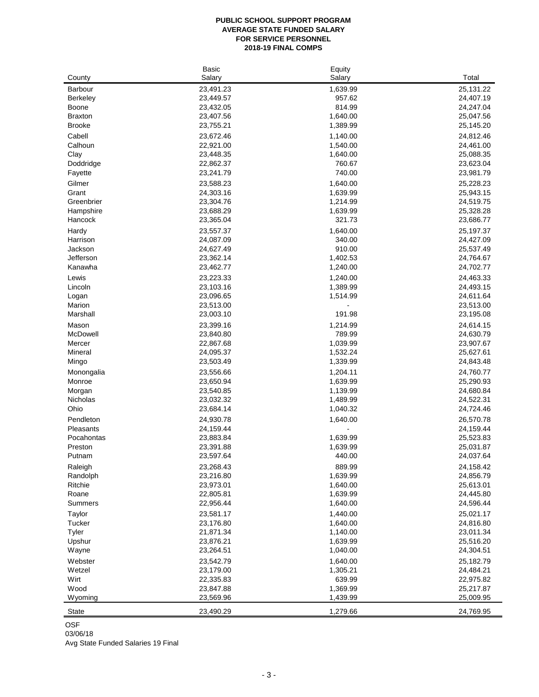#### **PUBLIC SCHOOL SUPPORT PROGRAM AVERAGE STATE FUNDED SALARY FOR SERVICE PERSONNEL 2018-19 FINAL COMPS**

|                 | <b>Basic</b>           | Equity               |                        |
|-----------------|------------------------|----------------------|------------------------|
| County          | Salary                 | Salary               | Total                  |
| Barbour         | 23,491.23              | 1,639.99             | 25,131.22              |
| <b>Berkeley</b> | 23,449.57              | 957.62               | 24,407.19              |
| Boone           | 23,432.05              | 814.99               | 24,247.04              |
| <b>Braxton</b>  | 23,407.56              | 1,640.00             | 25,047.56              |
| <b>Brooke</b>   | 23,755.21              | 1,389.99             | 25,145.20              |
| Cabell          | 23,672.46              | 1,140.00             | 24,812.46              |
| Calhoun         | 22,921.00              | 1,540.00             | 24,461.00              |
| Clay            | 23,448.35              | 1,640.00             | 25,088.35              |
| Doddridge       | 22,862.37              | 760.67               | 23,623.04              |
| Fayette         | 23,241.79              | 740.00               | 23,981.79              |
| Gilmer          | 23,588.23              | 1,640.00             | 25,228.23              |
| Grant           | 24,303.16              | 1,639.99             | 25,943.15              |
| Greenbrier      | 23,304.76              | 1,214.99             | 24,519.75              |
| Hampshire       | 23,688.29              | 1,639.99             | 25,328.28              |
| Hancock         | 23,365.04              | 321.73               | 23,686.77              |
| Hardy           | 23,557.37              | 1,640.00             | 25, 197.37             |
| Harrison        | 24,087.09              | 340.00               | 24,427.09              |
| Jackson         | 24,627.49              | 910.00               | 25,537.49              |
| Jefferson       | 23,362.14              | 1,402.53             | 24,764.67              |
| Kanawha         | 23,462.77              | 1,240.00             | 24,702.77              |
| Lewis           | 23,223.33              | 1,240.00             | 24,463.33              |
| Lincoln         | 23,103.16              | 1,389.99             | 24,493.15              |
| Logan           | 23,096.65              | 1,514.99             | 24,611.64              |
| Marion          | 23,513.00              |                      | 23,513.00              |
| Marshall        | 23,003.10              | 191.98               | 23,195.08              |
| Mason           | 23,399.16              | 1,214.99             | 24,614.15              |
| McDowell        | 23,840.80              | 789.99               | 24,630.79              |
| Mercer          | 22,867.68              | 1,039.99             | 23,907.67              |
| Mineral         | 24,095.37              | 1,532.24             | 25,627.61              |
| Mingo           | 23,503.49              | 1,339.99             | 24,843.48              |
| Monongalia      | 23,556.66              | 1,204.11             | 24,760.77              |
| Monroe          | 23,650.94              | 1,639.99             | 25,290.93              |
| Morgan          | 23,540.85              | 1,139.99             | 24,680.84              |
| Nicholas        | 23,032.32              | 1,489.99             | 24,522.31              |
| Ohio            | 23,684.14              | 1,040.32             | 24,724.46              |
| Pendleton       | 24,930.78              | 1,640.00             | 26,570.78              |
| Pleasants       | 24,159.44              |                      | 24,159.44              |
| Pocahontas      | 23,883.84              | 1,639.99             | 25,523.83              |
| Preston         | 23,391.88              | 1,639.99             | 25,031.87              |
| Putnam          | 23,597.64              | 440.00               | 24,037.64              |
| Raleigh         | 23,268.43              | 889.99               | 24,158.42              |
| Randolph        | 23,216.80              | 1,639.99             | 24,856.79              |
| Ritchie         | 23,973.01              | 1,640.00             | 25,613.01              |
| Roane           | 22,805.81              | 1,639.99             | 24,445.80              |
| Summers         | 22,956.44              | 1,640.00             | 24,596.44              |
| Taylor          | 23,581.17              | 1,440.00             | 25,021.17              |
| Tucker          | 23,176.80              | 1,640.00             | 24,816.80              |
| Tyler<br>Upshur | 21,871.34              | 1,140.00             | 23,011.34              |
| Wayne           | 23,876.21<br>23,264.51 | 1,639.99<br>1,040.00 | 25,516.20<br>24,304.51 |
|                 |                        |                      |                        |
| Webster         | 23,542.79              | 1,640.00<br>1,305.21 | 25,182.79              |
| Wetzel<br>Wirt  | 23,179.00<br>22,335.83 | 639.99               | 24,484.21<br>22,975.82 |
| Wood            | 23,847.88              | 1,369.99             | 25,217.87              |
| Wyoming         | 23,569.96              | 1,439.99             | 25,009.95              |
|                 |                        |                      |                        |
| <b>State</b>    | 23,490.29              | 1,279.66             | 24,769.95              |

OSF

03/06/18

Avg State Funded Salaries 19 Final

 $\overline{\phantom{0}}$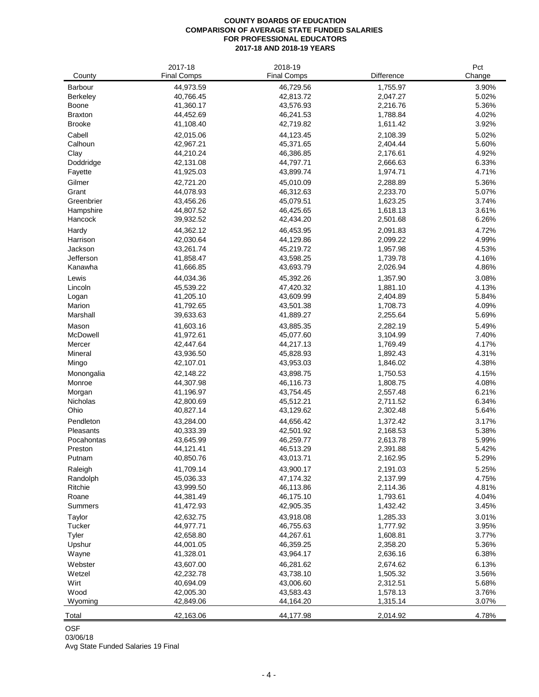## **COUNTY BOARDS OF EDUCATION COMPARISON OF AVERAGE STATE FUNDED SALARIES FOR PROFESSIONAL EDUCATORS 2017-18 AND 2018-19 YEARS**

|                | 2017-18            | 2018-19            |                   | Pct    |
|----------------|--------------------|--------------------|-------------------|--------|
| County         | <b>Final Comps</b> | <b>Final Comps</b> | <b>Difference</b> | Change |
| Barbour        | 44,973.59          | 46,729.56          | 1,755.97          | 3.90%  |
| Berkeley       | 40,766.45          | 42,813.72          | 2,047.27          | 5.02%  |
| Boone          | 41,360.17          | 43,576.93          | 2,216.76          | 5.36%  |
| <b>Braxton</b> | 44,452.69          | 46,241.53          | 1,788.84          | 4.02%  |
| <b>Brooke</b>  | 41,108.40          | 42,719.82          | 1,611.42          | 3.92%  |
| Cabell         | 42,015.06          | 44,123.45          | 2,108.39          | 5.02%  |
| Calhoun        | 42,967.21          | 45,371.65          | 2,404.44          | 5.60%  |
| Clay           | 44,210.24          | 46,386.85          | 2,176.61          | 4.92%  |
| Doddridge      | 42,131.08          | 44,797.71          | 2,666.63          | 6.33%  |
| Fayette        | 41,925.03          | 43,899.74          | 1,974.71          | 4.71%  |
| Gilmer         | 42,721.20          | 45,010.09          | 2,288.89          | 5.36%  |
| Grant          | 44,078.93          | 46,312.63          | 2,233.70          | 5.07%  |
| Greenbrier     | 43,456.26          | 45,079.51          | 1,623.25          | 3.74%  |
| Hampshire      | 44,807.52          | 46,425.65          | 1,618.13          | 3.61%  |
| Hancock        | 39,932.52          | 42,434.20          | 2,501.68          | 6.26%  |
| Hardy          | 44,362.12          | 46,453.95          | 2,091.83          | 4.72%  |
| Harrison       | 42,030.64          | 44,129.86          | 2,099.22          | 4.99%  |
| Jackson        | 43,261.74          | 45,219.72          | 1,957.98          | 4.53%  |
| Jefferson      | 41,858.47          | 43,598.25          | 1,739.78          | 4.16%  |
| Kanawha        | 41,666.85          | 43,693.79          | 2,026.94          | 4.86%  |
| Lewis          | 44,034.36          | 45,392.26          | 1,357.90          | 3.08%  |
| Lincoln        | 45,539.22          | 47,420.32          | 1,881.10          | 4.13%  |
| Logan          | 41,205.10          | 43,609.99          | 2,404.89          | 5.84%  |
| Marion         | 41,792.65          | 43,501.38          | 1,708.73          | 4.09%  |
| Marshall       | 39,633.63          | 41,889.27          | 2,255.64          | 5.69%  |
| Mason          | 41,603.16          | 43,885.35          | 2,282.19          | 5.49%  |
| McDowell       | 41,972.61          | 45,077.60          | 3,104.99          | 7.40%  |
| Mercer         | 42,447.64          | 44,217.13          | 1,769.49          | 4.17%  |
| Mineral        | 43,936.50          | 45,828.93          | 1,892.43          | 4.31%  |
| Mingo          | 42,107.01          | 43,953.03          | 1,846.02          | 4.38%  |
| Monongalia     | 42,148.22          | 43,898.75          | 1,750.53          | 4.15%  |
| Monroe         | 44,307.98          | 46,116.73          | 1,808.75          | 4.08%  |
| Morgan         | 41,196.97          | 43,754.45          | 2,557.48          | 6.21%  |
| Nicholas       | 42,800.69          | 45,512.21          | 2,711.52          | 6.34%  |
| Ohio           | 40,827.14          | 43,129.62          | 2,302.48          | 5.64%  |
| Pendleton      | 43,284.00          | 44,656.42          | 1,372.42          | 3.17%  |
| Pleasants      | 40,333.39          | 42,501.92          | 2,168.53          | 5.38%  |
| Pocahontas     | 43,645.99          | 46,259.77          | 2,613.78          | 5.99%  |
| Preston        | 44,121.41          | 46,513.29          | 2,391.88          | 5.42%  |
| Putnam         | 40,850.76          | 43,013.71          | 2,162.95          | 5.29%  |
| Raleigh        | 41,709.14          | 43,900.17          | 2,191.03          | 5.25%  |
| Randolph       | 45,036.33          | 47,174.32          | 2,137.99          | 4.75%  |
| Ritchie        | 43,999.50          | 46,113.86          | 2,114.36          | 4.81%  |
| Roane          | 44,381.49          | 46,175.10          | 1,793.61          | 4.04%  |
| Summers        | 41,472.93          | 42,905.35          | 1,432.42          | 3.45%  |
| Taylor         | 42,632.75          | 43,918.08          | 1,285.33          | 3.01%  |
| Tucker         | 44,977.71          | 46,755.63          | 1,777.92          | 3.95%  |
| Tyler          | 42,658.80          | 44,267.61          | 1,608.81          | 3.77%  |
| Upshur         | 44,001.05          | 46,359.25          | 2,358.20          | 5.36%  |
| Wayne          | 41,328.01          | 43,964.17          | 2,636.16          | 6.38%  |
| Webster        | 43,607.00          | 46,281.62          | 2,674.62          | 6.13%  |
| Wetzel         | 42,232.78          | 43,738.10          | 1,505.32          | 3.56%  |
| Wirt           | 40,694.09          | 43,006.60          | 2,312.51          | 5.68%  |
| Wood           | 42,005.30          | 43,583.43          | 1,578.13          | 3.76%  |
| Wyoming        | 42,849.06          | 44,164.20          | 1,315.14          | 3.07%  |
| Total          | 42,163.06          | 44,177.98          | 2,014.92          | 4.78%  |

OSF

03/06/18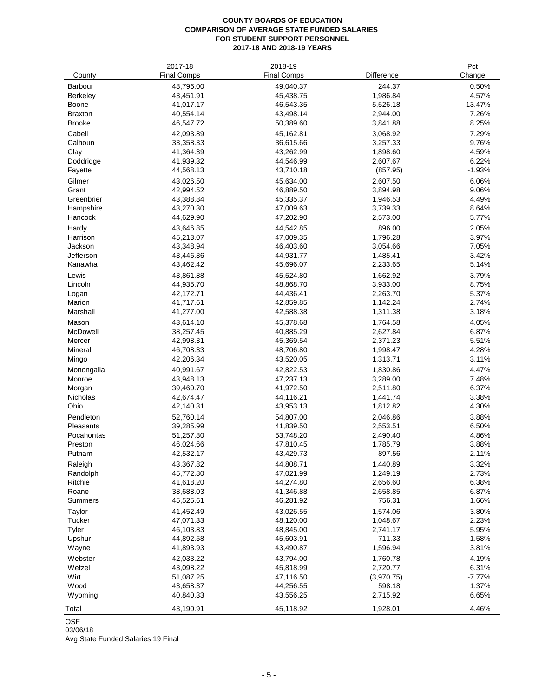#### **COUNTY BOARDS OF EDUCATION COMPARISON OF AVERAGE STATE FUNDED SALARIES FOR STUDENT SUPPORT PERSONNEL 2017-18 AND 2018-19 YEARS**

|                      | 2017-18                | 2018-19                |                      | Pct            |
|----------------------|------------------------|------------------------|----------------------|----------------|
| County               | <b>Final Comps</b>     | <b>Final Comps</b>     | Difference           | Change         |
| Barbour              | 48,796.00              | 49,040.37              | 244.37               | 0.50%          |
| Berkeley             | 43,451.91              | 45,438.75              | 1,986.84             | 4.57%          |
| Boone                | 41,017.17              | 46,543.35              | 5,526.18             | 13.47%         |
| <b>Braxton</b>       | 40,554.14              | 43,498.14              | 2,944.00             | 7.26%          |
| <b>Brooke</b>        | 46,547.72              | 50,389.60              | 3,841.88             | 8.25%          |
| Cabell               | 42,093.89              | 45,162.81              | 3,068.92             | 7.29%          |
| Calhoun              | 33,358.33              | 36,615.66              | 3,257.33             | 9.76%          |
| Clay                 | 41,364.39              | 43,262.99              | 1,898.60             | 4.59%          |
| Doddridge            | 41,939.32              | 44,546.99              | 2,607.67             | 6.22%          |
| Fayette              | 44,568.13              | 43,710.18              | (857.95)             | $-1.93%$       |
| Gilmer               | 43,026.50              | 45,634.00              | 2,607.50             | 6.06%          |
| Grant                | 42,994.52              | 46,889.50              | 3,894.98             | 9.06%          |
| Greenbrier           | 43,388.84              | 45,335.37              | 1,946.53             | 4.49%          |
| Hampshire<br>Hancock | 43,270.30<br>44,629.90 | 47,009.63<br>47,202.90 | 3,739.33<br>2,573.00 | 8.64%<br>5.77% |
|                      |                        |                        |                      |                |
| Hardy                | 43,646.85              | 44,542.85              | 896.00               | 2.05%          |
| Harrison<br>Jackson  | 45,213.07<br>43,348.94 | 47,009.35<br>46,403.60 | 1,796.28             | 3.97%<br>7.05% |
| Jefferson            | 43,446.36              | 44,931.77              | 3,054.66<br>1,485.41 | 3.42%          |
| Kanawha              | 43,462.42              | 45,696.07              | 2,233.65             | 5.14%          |
| Lewis                |                        |                        |                      | 3.79%          |
| Lincoln              | 43,861.88<br>44,935.70 | 45,524.80<br>48,868.70 | 1,662.92<br>3,933.00 | 8.75%          |
| Logan                | 42,172.71              | 44,436.41              | 2,263.70             | 5.37%          |
| Marion               | 41,717.61              | 42,859.85              | 1,142.24             | 2.74%          |
| Marshall             | 41,277.00              | 42,588.38              | 1,311.38             | 3.18%          |
| Mason                | 43,614.10              | 45,378.68              | 1,764.58             | 4.05%          |
| McDowell             | 38,257.45              | 40,885.29              | 2,627.84             | 6.87%          |
| Mercer               | 42,998.31              | 45,369.54              | 2,371.23             | 5.51%          |
| Mineral              | 46,708.33              | 48,706.80              | 1,998.47             | 4.28%          |
| Mingo                | 42,206.34              | 43,520.05              | 1,313.71             | 3.11%          |
| Monongalia           | 40,991.67              | 42,822.53              | 1,830.86             | 4.47%          |
| Monroe               | 43,948.13              | 47,237.13              | 3,289.00             | 7.48%          |
| Morgan               | 39,460.70              | 41,972.50              | 2,511.80             | 6.37%          |
| Nicholas             | 42,674.47              | 44,116.21              | 1,441.74             | 3.38%          |
| Ohio                 | 42,140.31              | 43,953.13              | 1,812.82             | 4.30%          |
| Pendleton            | 52,760.14              | 54,807.00              | 2,046.86             | 3.88%          |
| Pleasants            | 39,285.99              | 41,839.50              | 2,553.51             | 6.50%          |
| Pocahontas           | 51,257.80              | 53,748.20              | 2,490.40             | 4.86%          |
| Preston              | 46,024.66              | 47,810.45              | 1,785.79             | 3.88%          |
| Putnam               | 42,532.17              | 43,429.73              | 897.56               | 2.11%          |
| Raleigh              | 43,367.82              | 44,808.71              | 1,440.89             | 3.32%          |
| Randolph             | 45,772.80              | 47,021.99              | 1,249.19             | 2.73%          |
| Ritchie              | 41,618.20              | 44,274.80              | 2,656.60             | 6.38%          |
| Roane                | 38,688.03              | 41,346.88              | 2,658.85             | 6.87%          |
| Summers              | 45,525.61              | 46,281.92              | 756.31               | 1.66%          |
| Taylor               | 41,452.49              | 43,026.55              | 1,574.06             | 3.80%          |
| Tucker               | 47,071.33              | 48,120.00              | 1,048.67             | 2.23%          |
| Tyler                | 46,103.83              | 48,845.00              | 2,741.17             | 5.95%          |
| Upshur               | 44,892.58              | 45,603.91              | 711.33               | 1.58%          |
| Wayne                | 41,893.93              | 43,490.87              | 1,596.94             | 3.81%          |
| Webster              | 42,033.22              | 43,794.00              | 1,760.78             | 4.19%          |
| Wetzel               | 43,098.22              | 45,818.99              | 2,720.77             | 6.31%          |
| Wirt                 | 51,087.25              | 47,116.50              | (3,970.75)           | $-7.77%$       |
| Wood                 | 43,658.37              | 44,256.55              | 598.18               | 1.37%          |
| Wyoming              | 40,840.33              | 43,556.25              | 2,715.92             | 6.65%          |
| Total                | 43,190.91              | 45,118.92              | 1,928.01             | 4.46%          |

OSF

03/06/18